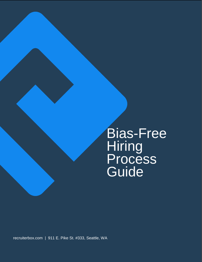Bias-Free Hiring Process Guide

[recruiterbox.com](http://recruiterbox.com/) | 911 E. Pike St. #333, Seattle, WA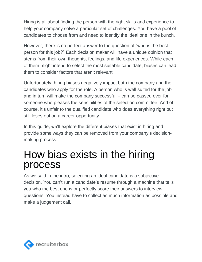Hiring is all about finding the person with the right skills and experience to help your company solve a particular set of challenges. You have a pool of candidates to choose from and need to identify the ideal one in the bunch.

However, there is no perfect answer to the question of "who is the best person for this job?" Each decision maker will have a unique opinion that stems from their own thoughts, feelings, and life experiences. While each of them might intend to select the most suitable candidate, biases can lead them to consider factors that aren't relevant.

Unfortunately, hiring biases negatively impact both the company and the candidates who apply for the role. A person who is well suited for the job – and in turn will make the company successful – can be passed over for someone who pleases the sensibilities of the selection committee. And of course, it's unfair to the qualified candidate who does everything right but still loses out on a career opportunity.

In this guide, we'll explore the different biases that exist in hiring and provide some ways they can be removed from your company's decisionmaking process.

# How bias exists in the hiring process

As we said in the intro, selecting an ideal candidate is a subjective decision. You can't run a candidate's resume through a machine that tells you who the best one is or perfectly score their answers to interview questions. You instead have to collect as much information as possible and make a judgement call.

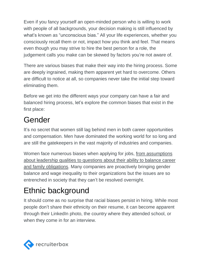Even if you fancy yourself an open-minded person who is willing to work with people of all backgrounds, your decision making is still influenced by what's known as "unconscious bias." All your life experiences, whether you consciously recall them or not, impact how you think and feel. That means even though you may strive to hire the best person for a role, the judgement calls you make can be skewed by factors you're not aware of.

There are various biases that make their way into the hiring process. Some are deeply ingrained, making them apparent yet hard to overcome. Others are difficult to notice at all, so companies never take the initial step toward eliminating them.

Before we get into the different ways your company can have a fair and balanced hiring process, let's explore the common biases that exist in the first place:

### Gender

It's no secret that women still lag behind men in both career opportunities and compensation. Men have dominated the working world for so long and are still the gatekeepers in the vast majority of industries and companies.

Women face numerous biases when applying for jobs, from [assumptions](https://recruiterbox.com/blog/common-gender-biases-that-occur-in-job-interviews/) about [leadership](https://recruiterbox.com/blog/common-gender-biases-that-occur-in-job-interviews/) qualities to questions about their ability to balance career and family [obligations.](https://recruiterbox.com/blog/common-gender-biases-that-occur-in-job-interviews/) Many companies are proactively bringing gender balance and wage inequality to their organizations but the issues are so entrenched in society that they can't be resolved overnight.

### Ethnic background

It should come as no surprise that racial biases persist in hiring. While most people don't share their ethnicity on their resume, it can become apparent through their LinkedIn photo, the country where they attended school, or when they come in for an interview.

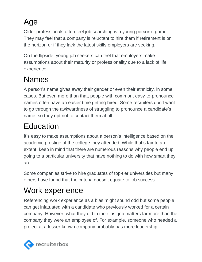## Age

Older professionals often feel job searching is a young person's game. They may feel that a company is reluctant to hire them if retirement is on the horizon or if they lack the latest skills employers are seeking.

On the flipside, young job seekers can feel that employers make assumptions about their maturity or professionality due to a lack of life experience.

#### Names

A person's name gives away their gender or even their ethnicity, in some cases. But even more than that, people with common, easy-to-pronounce names often have an easier time getting hired. Some recruiters don't want to go through the awkwardness of struggling to pronounce a candidate's name, so they opt not to contact them at all.

# Education

It's easy to make assumptions about a person's intelligence based on the academic prestige of the college they attended. While that's fair to an extent, keep in mind that there are numerous reasons why people end up going to a particular university that have nothing to do with how smart they are.

Some companies strive to hire graduates of top-tier universities but many others have found that the criteria doesn't equate to job success.

## Work experience

Referencing work experience as a bias might sound odd but some people can get infatuated with a candidate who previously worked for a certain company. However, what they did in their last job matters far more than the company they were an employee of. For example, someone who headed a project at a lesser-known company probably has more leadership

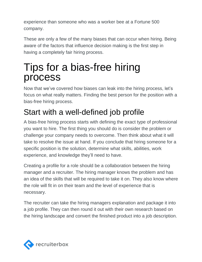experience than someone who was a worker bee at a Fortune 500 company.

These are only a few of the many biases that can occur when hiring. Being aware of the factors that influence decision making is the first step in having a completely fair hiring process.

# Tips for a bias-free hiring process

Now that we've covered how biases can leak into the hiring process, let's focus on what really matters. Finding the best person for the position with a bias-free hiring process.

## Start with a well-defined job profile

A bias-free hiring process starts with defining the exact type of professional you want to hire. The first thing you should do is consider the problem or challenge your company needs to overcome. Then think about what it will take to resolve the issue at hand. If you conclude that hiring someone for a specific position is the solution, determine what skills, abilities, work experience, and knowledge they'll need to have.

Creating a profile for a role should be a collaboration between the hiring manager and a recruiter. The hiring manager knows the problem and has an idea of the skills that will be required to take it on. They also know where the role will fit in on their team and the level of experience that is necessary.

The recruiter can take the hiring managers explanation and package it into a job profile. They can then round it out with their own research based on the hiring landscape and convert the finished product into a job description.

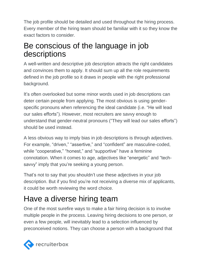The job profile should be detailed and used throughout the hiring process. Every member of the hiring team should be familiar with it so they know the exact factors to consider.

#### Be conscious of the language in job descriptions

A well-written and descriptive job description attracts the right candidates and convinces them to apply. It should sum up all the role requirements defined in the job profile so it draws in people with the right professional background.

It's often overlooked but some minor words used in job descriptions can deter certain people from applying. The most obvious is using genderspecific pronouns when referencing the ideal candidate (i.e. "He will lead our sales efforts"). However, most recruiters are savvy enough to understand that gender-neutral pronouns ("They will lead our sales efforts") should be used instead.

A less obvious way to imply bias in job descriptions is through adjectives. For example, "driven," "assertive," and "confident" are masculine-coded, while "cooperative," "honest," and "supportive" have a feminine connotation. When it comes to age, adjectives like "energetic" and "techsavvy" imply that you're seeking a young person.

That's not to say that you shouldn't use these adjectives in your job description. But if you find you're not receiving a diverse mix of applicants, it could be worth reviewing the word choice.

#### Have a diverse hiring team

One of the most surefire ways to make a fair hiring decision is to involve multiple people in the process. Leaving hiring decisions to one person, or even a few people, will inevitably lead to a selection influenced by preconceived notions. They can choose a person with a background that

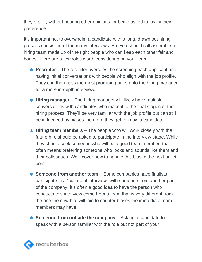they prefer, without hearing other opinions, or being asked to justify their preference.

It's important not to overwhelm a candidate with a long, drawn out hiring process consisting of too many interviews. But you should still assemble a hiring team made up of the right people who can keep each other fair and honest. Here are a few roles worth considering on your team:

- **Recruiter** The recruiter oversees the screening each applicant and having initial conversations with people who align with the job profile. They can then pass the most promising ones onto the hiring manager for a more in-depth interview.
- **Hiring manager** The hiring manager will likely have multiple conversations with candidates who make it to the final stages of the hiring process. They'll be very familiar with the job profile but can still be influenced by biases the more they get to know a candidate.
- **Hiring team members** The people who will work closely with the future hire should be asked to participate in the interview stage. While they should seek someone who will be a good team member, that often means preferring someone who looks and sounds like them and their colleagues. We'll cover how to handle this bias in the next bullet point.
- **Someone from another team** Some companies have finalists participate in a "culture fit interview" with someone from another part of the company. It's often a good idea to have the person who conducts this interview come from a team that is very different from the one the new hire will join to counter biases the immediate team members may have.
- **Someone from outside the company** Asking a candidate to speak with a person familiar with the role but not part of your

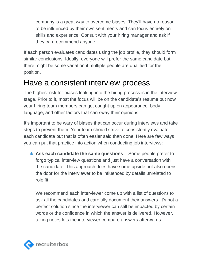company is a great way to overcome biases. They'll have no reason to be influenced by their own sentiments and can focus entirely on skills and experience. Consult with your hiring manager and ask if they can recommend anyone.

If each person evaluates candidates using the job profile, they should form similar conclusions. Ideally, everyone will prefer the same candidate but there might be some variation if multiple people are qualified for the position.

#### Have a consistent interview process

The highest risk for biases leaking into the hiring process is in the interview stage. Prior to it, most the focus will be on the candidate's resume but now your hiring team members can get caught up on appearance, body language, and other factors that can sway their opinions.

It's important to be wary of biases that can occur during interviews and take steps to prevent them. Your team should strive to consistently evaluate each candidate but that is often easier said than done. Here are few ways you can put that practice into action when conducting job interviews:

**Ask each candidate the same questions** – Some people prefer to forgo typical interview questions and just have a conversation with the candidate. This approach does have some upside but also opens the door for the interviewer to be influenced by details unrelated to role fit.

We recommend each interviewer come up with a list of questions to ask all the candidates and carefully document their answers. It's not a perfect solution since the interviewer can still be impacted by certain words or the confidence in which the answer is delivered. However, taking notes lets the interviewer compare answers afterwards.